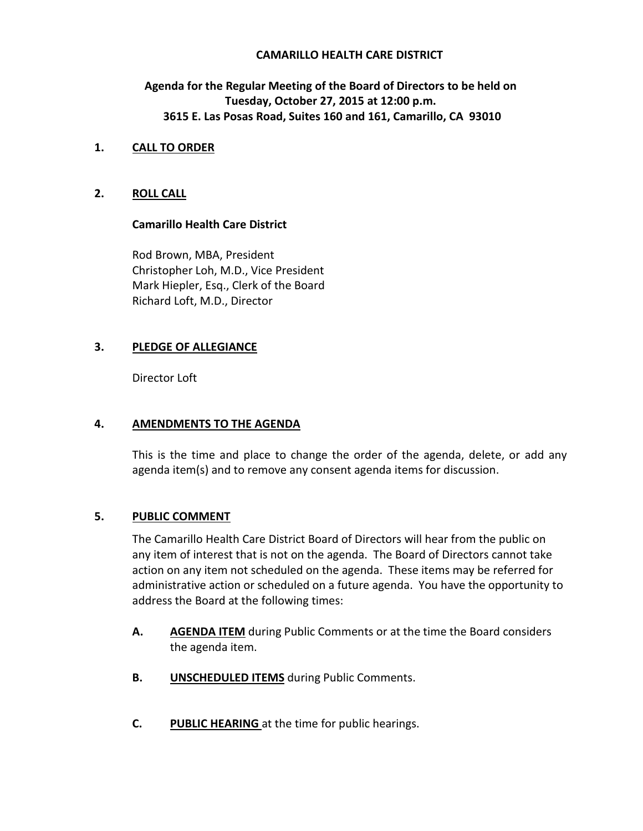## **CAMARILLO HEALTH CARE DISTRICT**

# **Agenda for the Regular Meeting of the Board of Directors to be held on Tuesday, October 27, 2015 at 12:00 p.m. 3615 E. Las Posas Road, Suites 160 and 161, Camarillo, CA 93010**

## **1. CALL TO ORDER**

# **2. ROLL CALL**

## **Camarillo Health Care District**

Rod Brown, MBA, President Christopher Loh, M.D., Vice President Mark Hiepler, Esq., Clerk of the Board Richard Loft, M.D., Director

## **3. PLEDGE OF ALLEGIANCE**

Director Loft

# **4. AMENDMENTS TO THE AGENDA**

This is the time and place to change the order of the agenda, delete, or add any agenda item(s) and to remove any consent agenda items for discussion.

# **5. PUBLIC COMMENT**

The Camarillo Health Care District Board of Directors will hear from the public on any item of interest that is not on the agenda. The Board of Directors cannot take action on any item not scheduled on the agenda. These items may be referred for administrative action or scheduled on a future agenda. You have the opportunity to address the Board at the following times:

- **A. AGENDA ITEM** during Public Comments or at the time the Board considers the agenda item.
- **B. UNSCHEDULED ITEMS** during Public Comments.
- **C. PUBLIC HEARING** at the time for public hearings.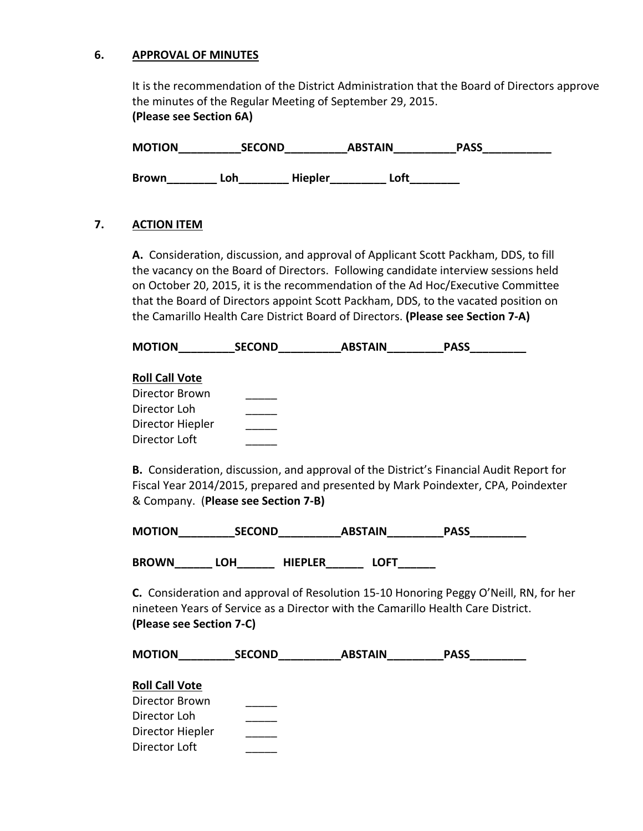#### **6. APPROVAL OF MINUTES**

It is the recommendation of the District Administration that the Board of Directors approve the minutes of the Regular Meeting of September 29, 2015. **(Please see Section 6A)**

| <b>MOTION</b> | <b>SECOND</b> |                | <b>ABSTAIN</b> |      | <b>PASS</b> |
|---------------|---------------|----------------|----------------|------|-------------|
| <b>Brown</b>  | ∟oh           | <b>Hiepler</b> |                | _oft |             |

#### **7. ACTION ITEM**

**A.** Consideration, discussion, and approval of Applicant Scott Packham, DDS, to fill the vacancy on the Board of Directors. Following candidate interview sessions held on October 20, 2015, it is the recommendation of the Ad Hoc/Executive Committee that the Board of Directors appoint Scott Packham, DDS, to the vacated position on the Camarillo Health Care District Board of Directors. **(Please see Section 7-A)** 

| <b>MOTION</b>         | <b>SECOND</b> | <b>ABSTAIN</b> | <b>PASS</b> |  |
|-----------------------|---------------|----------------|-------------|--|
| <b>Roll Call Vote</b> |               |                |             |  |
| Director Brown        |               |                |             |  |
| Director Loh          |               |                |             |  |
| Director Hiepler      |               |                |             |  |
| Director Loft         |               |                |             |  |

 **B.** Consideration, discussion, and approval of the District's Financial Audit Report for Fiscal Year 2014/2015, prepared and presented by Mark Poindexter, CPA, Poindexter & Company. (**Please see Section 7-B)** 

| <b>MOTION</b> | <b>SECOND</b> | <b>ABSTAIN</b> | <b>PASS</b> |
|---------------|---------------|----------------|-------------|
|               |               |                |             |

**BROWN\_\_\_\_\_\_ LOH\_\_\_\_\_\_ HIEPLER\_\_\_\_\_\_ LOFT\_\_\_\_\_\_** 

**C.** Consideration and approval of Resolution 15-10 Honoring Peggy O'Neill, RN, for her nineteen Years of Service as a Director with the Camarillo Health Care District. **(Please see Section 7-C)**

| <b>MOTION</b>         | <b>SECOND</b> | <b>ABSTAIN</b> | <b>PASS</b> |  |
|-----------------------|---------------|----------------|-------------|--|
| <b>Roll Call Vote</b> |               |                |             |  |
| Director Brown        |               |                |             |  |
| Director Loh          |               |                |             |  |
| Director Hiepler      |               |                |             |  |
| Director Loft         |               |                |             |  |
|                       |               |                |             |  |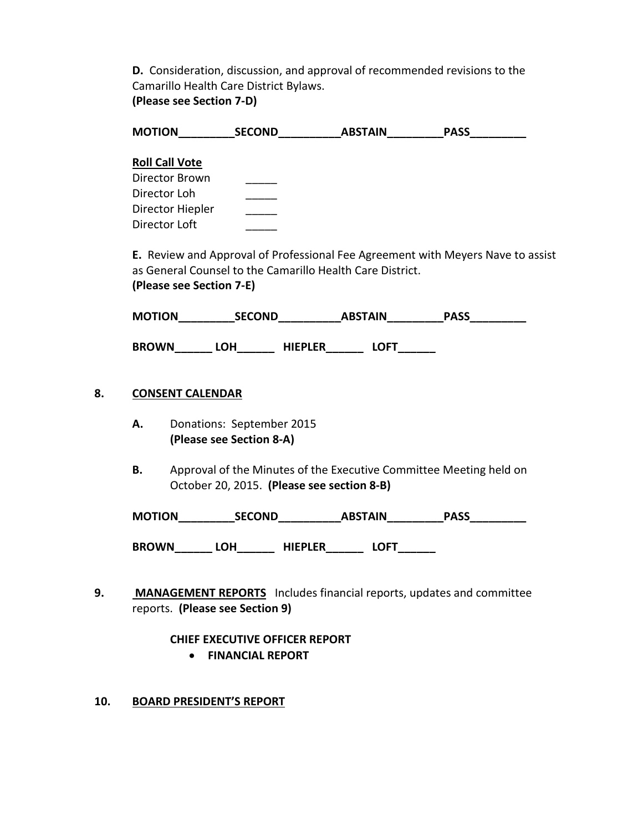**D.** Consideration, discussion, and approval of recommended revisions to the Camarillo Health Care District Bylaws. **(Please see Section 7-D)** 

|           |                          |                                            | MOTION SECOND ABSTAIN PASS                                |                                                                                 |
|-----------|--------------------------|--------------------------------------------|-----------------------------------------------------------|---------------------------------------------------------------------------------|
|           | <b>Roll Call Vote</b>    |                                            |                                                           |                                                                                 |
|           | Director Brown           |                                            |                                                           |                                                                                 |
|           | Director Loh             |                                            |                                                           |                                                                                 |
|           | Director Hiepler         |                                            |                                                           |                                                                                 |
|           | <b>Director Loft</b>     |                                            |                                                           |                                                                                 |
|           |                          |                                            |                                                           | E. Review and Approval of Professional Fee Agreement with Meyers Nave to assist |
|           |                          |                                            | as General Counsel to the Camarillo Health Care District. |                                                                                 |
|           | (Please see Section 7-E) |                                            |                                                           |                                                                                 |
|           |                          |                                            |                                                           | MOTION SECOND ABSTAIN PASS                                                      |
|           |                          |                                            | BROWN_______LOH________ HIEPLER________ LOFT_______       |                                                                                 |
|           | <b>CONSENT CALENDAR</b>  |                                            |                                                           |                                                                                 |
| А.        |                          | Donations: September 2015                  |                                                           |                                                                                 |
|           |                          | (Please see Section 8-A)                   |                                                           |                                                                                 |
| <b>B.</b> |                          | October 20, 2015. (Please see section 8-B) |                                                           | Approval of the Minutes of the Executive Committee Meeting held on              |
|           |                          |                                            |                                                           |                                                                                 |

# **CHIEF EXECUTIVE OFFICER REPORT**

- **FINANCIAL REPORT**
- **10. BOARD PRESIDENT'S REPORT**